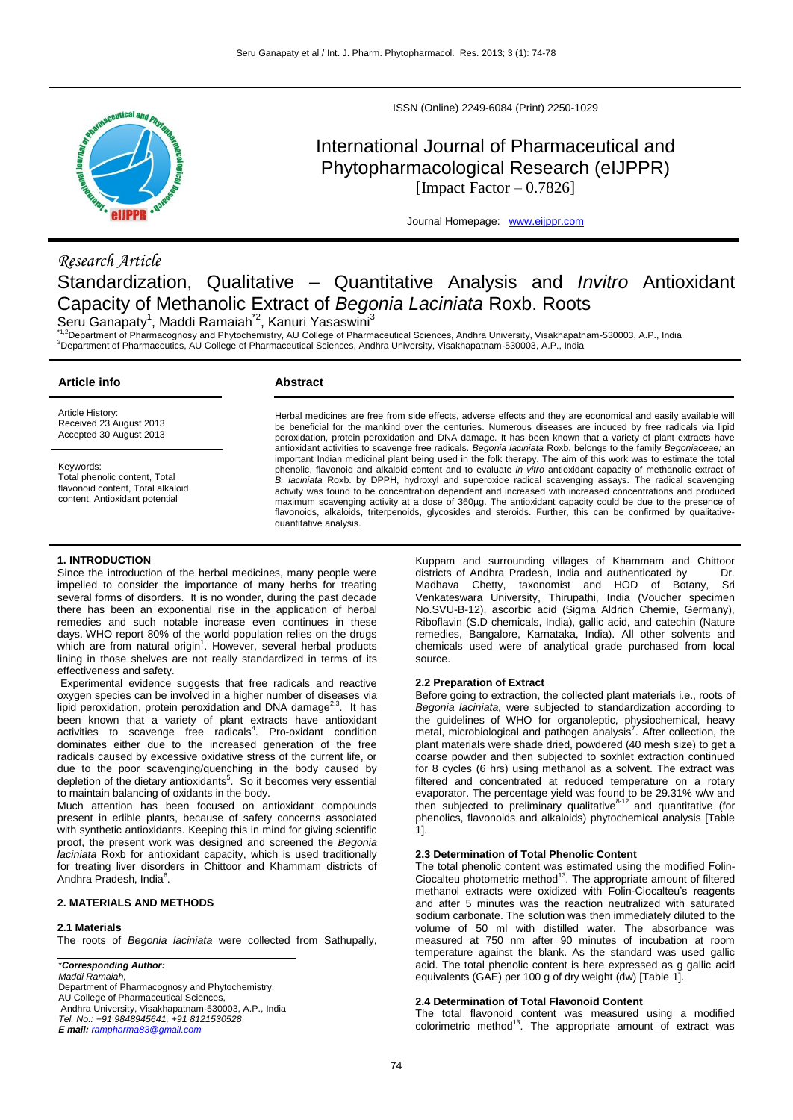

*Research Article*

ISSN (Online) 2249-6084 (Print) 2250-1029

# International Journal of Pharmaceutical and Phytopharmacological Research (eIJPPR) [Impact Factor  $- 0.7826$ ]

Journal Homepage: [www.eijppr.com](http://www.eijppr.com/)

# Standardization, Qualitative – Quantitative Analysis and *Invitro* Antioxidant Capacity of Methanolic Extract of *Begonia Laciniata* Roxb. Roots

Seru Ganapaty<sup>1</sup>, Maddi Ramaiah<sup>\*2</sup>, Kanuri Yasaswini<sup>3</sup>

<sup>1,2</sup>Department of Pharmacognosy and Phytochemistry, AU College of Pharmaceutical Sciences, Andhra University, Visakhapatnam-530003, A.P., India <sup>3</sup>Department of Pharmaceutics, AU College of Pharmaceutical Sciences, Andhra University, Visakhapatnam-530003, A.P., India

| Article info                                                                                                      | Abstract                                                                                                                                                                                                                                                                                                                                                                                                                                                                                                                                                                                                                                                                                                        |  |
|-------------------------------------------------------------------------------------------------------------------|-----------------------------------------------------------------------------------------------------------------------------------------------------------------------------------------------------------------------------------------------------------------------------------------------------------------------------------------------------------------------------------------------------------------------------------------------------------------------------------------------------------------------------------------------------------------------------------------------------------------------------------------------------------------------------------------------------------------|--|
| Article History:<br>Received 23 August 2013<br>Accepted 30 August 2013                                            | Herbal medicines are free from side effects, adverse effects and they are economical and easily available will<br>be beneficial for the mankind over the centuries. Numerous diseases are induced by free radicals via lipid<br>peroxidation, protein peroxidation and DNA damage. It has been known that a variety of plant extracts have<br>antioxidant activities to scavenge free radicals. Begonia laciniata Roxb. belongs to the family Begoniaceae; an                                                                                                                                                                                                                                                   |  |
| Keywords:<br>Total phenolic content. Total<br>flavonoid content. Total alkaloid<br>content. Antioxidant potential | important Indian medicinal plant being used in the folk therapy. The aim of this work was to estimate the total<br>phenolic, flavonoid and alkaloid content and to evaluate in vitro antioxidant capacity of methanolic extract of<br>B. laciniata Roxb. by DPPH, hydroxyl and superoxide radical scavenging assays. The radical scavenging<br>activity was found to be concentration dependent and increased with increased concentrations and produced<br>maximum scavenging activity at a dose of 360µg. The antioxidant capacity could be due to the presence of<br>flavonoids, alkaloids, triterpenoids, glycosides and steroids. Further, this can be confirmed by qualitative-<br>quantitative analysis. |  |

#### **1. INTRODUCTION**

Since the introduction of the herbal medicines, many people were impelled to consider the importance of many herbs for treating several forms of disorders. It is no wonder, during the past decade there has been an exponential rise in the application of herbal remedies and such notable increase even continues in these days. WHO report 80% of the world population relies on the drugs which are from natural origin<sup>1</sup>. However, several herbal products lining in those shelves are not really standardized in terms of its effectiveness and safety.

Experimental evidence suggests that free radicals and reactive oxygen species can be involved in a higher number of diseases via lipid peroxidation, protein peroxidation and DNA damage<sup>2.3</sup>. It has been known that a variety of plant extracts have antioxidant activities to scavenge free radicals<sup>4</sup>. Pro-oxidant condition dominates either due to the increased generation of the free radicals caused by excessive oxidative stress of the current life, or due to the poor scavenging/quenching in the body caused by depletion of the dietary antioxidants<sup>5</sup>. So it becomes very essential to maintain balancing of oxidants in the body.

Much attention has been focused on antioxidant compounds present in edible plants, because of safety concerns associated with synthetic antioxidants. Keeping this in mind for giving scientific proof, the present work was designed and screened the *Begonia laciniata* Roxb for antioxidant capacity, which is used traditionally for treating liver disorders in Chittoor and Khammam districts of Andhra Pradesh, India<sup>6</sup>.

# **2. MATERIALS AND METHODS**

#### **2.1 Materials**

The roots of *Begonia laciniata* were collected from Sathupally,

# \**Corresponding Author:*

*Maddi Ramaiah,* Department of Pharmacognosy and Phytochemistry, AU College of Pharmaceutical Sciences, Andhra University, Visakhapatnam-530003, A.P., India *Tel. No.: +91 9848945641, +91 8121530528 E mail: [rampharma83@gmail.com](mailto:rampharma83@gmail.com)*

Kuppam and surrounding villages of Khammam and Chittoor districts of Andhra Pradesh, India and authenticated by Dr. Madhava Chetty, taxonomist and HOD of Botany, Sri Venkateswara University, Thirupathi, India (Voucher specimen No.SVU-B-12), ascorbic acid (Sigma Aldrich Chemie, Germany), Riboflavin (S.D chemicals, India), gallic acid, and catechin (Nature remedies, Bangalore, Karnataka, India). All other solvents and chemicals used were of analytical grade purchased from local source.

#### **2.2 Preparation of Extract**

Before going to extraction, the collected plant materials i.e., roots of *Begonia laciniata,* were subjected to standardization according to the guidelines of WHO for organoleptic, physiochemical, heavy metal, microbiological and pathogen analysis<sup>7</sup>. After collection, the plant materials were shade dried, powdered (40 mesh size) to get a coarse powder and then subjected to soxhlet extraction continued for 8 cycles (6 hrs) using methanol as a solvent. The extract was filtered and concentrated at reduced temperature on a rotary evaporator. The percentage yield was found to be 29.31% w/w and then subjected to preliminary qualitative<sup>412</sup> and quantitative (for phenolics, flavonoids and alkaloids) phytochemical analysis [Table 1].

#### **2.3 Determination of Total Phenolic Content**

The total phenolic content was estimated using the modified Folin-Ciocalteu photometric method<sup>13</sup>. The appropriate amount of filtered methanol extracts were oxidized with Folin-Ciocalteu's reagents and after 5 minutes was the reaction neutralized with saturated sodium carbonate. The solution was then immediately diluted to the volume of 50 ml with distilled water. The absorbance was measured at 750 nm after 90 minutes of incubation at room temperature against the blank. As the standard was used gallic acid. The total phenolic content is here expressed as g gallic acid equivalents (GAE) per 100 g of dry weight (dw) [Table 1].

# **2.4 Determination of Total Flavonoid Content**

The total flavonoid content was measured using a modified colorimetric method<sup>13</sup>. The appropriate amount of extract was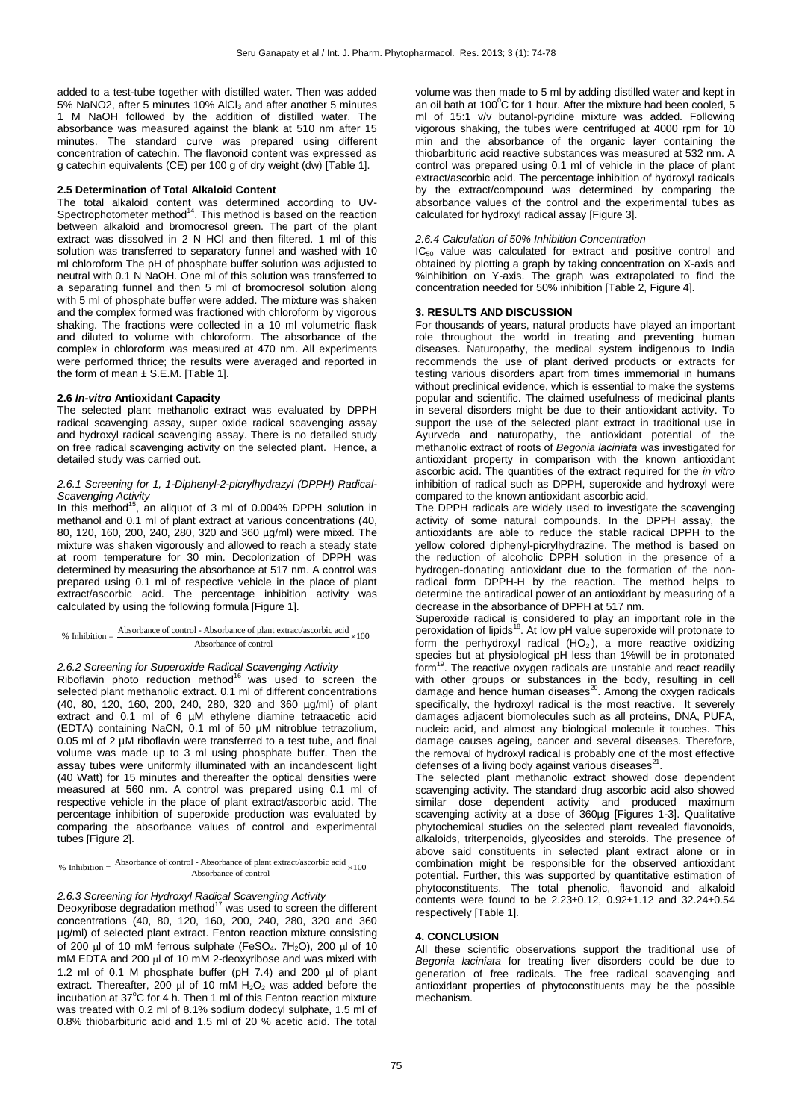added to a test-tube together with distilled water. Then was added 5% NaNO2, after 5 minutes 10% AlCl<sub>3</sub> and after another 5 minutes 1 M NaOH followed by the addition of distilled water. The absorbance was measured against the blank at 510 nm after 15 minutes. The standard curve was prepared using different concentration of catechin. The flavonoid content was expressed as g catechin equivalents (CE) per 100 g of dry weight (dw) [Table 1].

#### **2.5 Determination of Total Alkaloid Content**

The total alkaloid content was determined according to UV-<br>Spectrophotometer method<sup>14</sup>. This method is based on the reaction between alkaloid and bromocresol green. The part of the plant extract was dissolved in 2 N HCl and then filtered. 1 ml of this solution was transferred to separatory funnel and washed with 10 ml chloroform The pH of phosphate buffer solution was adjusted to neutral with 0.1 N NaOH. One ml of this solution was transferred to a separating funnel and then 5 ml of bromocresol solution along with 5 ml of phosphate buffer were added. The mixture was shaken and the complex formed was fractioned with chloroform by vigorous shaking. The fractions were collected in a 10 ml volumetric flask and diluted to volume with chloroform. The absorbance of the complex in chloroform was measured at 470 nm. All experiments were performed thrice; the results were averaged and reported in the form of mean  $\pm$  S.E.M. [Table 1].

#### **2.6** *In-vitro* **Antioxidant Capacity**

The selected plant methanolic extract was evaluated by DPPH radical scavenging assay, super oxide radical scavenging assay and hydroxyl radical scavenging assay. There is no detailed study on free radical scavenging activity on the selected plant. Hence, a detailed study was carried out.

#### *2.6.1 Screening for 1, 1-Diphenyl-2-picrylhydrazyl (DPPH) Radical-Scavenging Activity*

In this method<sup>15</sup>, an aliquot of 3 ml of 0.004% DPPH solution in methanol and 0.1 ml of plant extract at various concentrations (40, 80, 120, 160, 200, 240, 280, 320 and 360 µg/ml) were mixed. The mixture was shaken vigorously and allowed to reach a steady state at room temperature for 30 min. Decolorization of DPPH was determined by measuring the absorbance at 517 nm. A control was prepared using 0.1 ml of respective vehicle in the place of plant extract/ascorbic acid. The percentage inhibition activity was calculated by using the following formula [Figure 1].

#### % Inhibition  $=$  Absorbance of control - Absorbance of plant extract/ascorbic acid  $\times 100$ Absorbance of control

2.6.2 Screening for Superoxide Radical Scavenging Activity<br>Riboflavin photo reduction method<sup>16</sup> was used to screen the selected plant methanolic extract. 0.1 ml of different concentrations (40, 80, 120, 160, 200, 240, 280, 320 and 360 µg/ml) of plant extract and 0.1 ml of 6 µM ethylene diamine tetraacetic acid (EDTA) containing NaCN, 0.1 ml of 50 µM nitroblue tetrazolium, 0.05 ml of 2 µM riboflavin were transferred to a test tube, and final volume was made up to 3 ml using phosphate buffer. Then the assay tubes were uniformly illuminated with an incandescent light (40 Watt) for 15 minutes and thereafter the optical densities were measured at 560 nm. A control was prepared using 0.1 ml of respective vehicle in the place of plant extract/ascorbic acid. The percentage inhibition of superoxide production was evaluated by comparing the absorbance values of control and experimental tubes [Figure 2].

% Inhibition  $=\frac{\text{Absorbane of control - Absorbane of plant extract/ascorbic acid}}{\text{M}} \times 100$ Absorbance of control

#### *2.6.3 Screening for Hydroxyl Radical Scavenging Activity*

Deoxyribose degradation method $17$  was used to screen the different concentrations (40, 80, 120, 160, 200, 240, 280, 320 and 360 µg/ml) of selected plant extract. Fenton reaction mixture consisting of 200  $\mu$ l of 10 mM ferrous sulphate (FeSO<sub>4</sub>. 7H<sub>2</sub>O), 200  $\mu$ l of 10 mM EDTA and 200  $\mu$ l of 10 mM 2-deoxyribose and was mixed with 1.2 ml of 0.1 M phosphate buffer (pH  $7.4$ ) and 200  $\mu$ l of plant extract. Thereafter, 200  $\mu$ l of 10 mM H<sub>2</sub>O<sub>2</sub> was added before the incubation at 37°C for 4 h. Then 1 ml of this Fenton reaction mixture was treated with 0.2 ml of 8.1% sodium dodecyl sulphate, 1.5 ml of 0.8% thiobarbituric acid and 1.5 ml of 20 % acetic acid. The total

volume was then made to 5 ml by adding distilled water and kept in an oil bath at  $100^{\circ}$ C for 1 hour. After the mixture had been cooled, 5 ml of 15:1 v/v butanol-pyridine mixture was added. Following vigorous shaking, the tubes were centrifuged at 4000 rpm for 10 min and the absorbance of the organic layer containing the thiobarbituric acid reactive substances was measured at 532 nm. A control was prepared using 0.1 ml of vehicle in the place of plant extract/ascorbic acid. The percentage inhibition of hydroxyl radicals by the extract/compound was determined by comparing the absorbance values of the control and the experimental tubes as calculated for hydroxyl radical assay [Figure 3].

### *2.6.4 Calculation of 50% Inhibition Concentration*

IC<sub>50</sub> value was calculated for extract and positive control and obtained by plotting a graph by taking concentration on X-axis and %inhibition on Y-axis. The graph was extrapolated to find the concentration needed for 50% inhibition [Table 2, Figure 4].

# **3. RESULTS AND DISCUSSION**

For thousands of years, natural products have played an important role throughout the world in treating and preventing human diseases. Naturopathy, the medical system indigenous to India recommends the use of plant derived products or extracts for testing various disorders apart from times immemorial in humans without preclinical evidence, which is essential to make the systems popular and scientific. The claimed usefulness of medicinal plants in several disorders might be due to their antioxidant activity. To support the use of the selected plant extract in traditional use in Ayurveda and naturopathy, the antioxidant potential of the methanolic extract of roots of *Begonia laciniata* was investigated for antioxidant property in comparison with the known antioxidant ascorbic acid. The quantities of the extract required for the *in vitro* inhibition of radical such as DPPH, superoxide and hydroxyl were compared to the known antioxidant ascorbic acid.

The DPPH radicals are widely used to investigate the scavenging activity of some natural compounds. In the DPPH assay, the antioxidants are able to reduce the stable radical DPPH to the yellow colored diphenyl-picrylhydrazine. The method is based on the reduction of alcoholic DPPH solution in the presence of a hydrogen-donating antioxidant due to the formation of the nonradical form DPPH-H by the reaction. The method helps to determine the antiradical power of an antioxidant by measuring of a decrease in the absorbance of DPPH at 517 nm.

Superoxide radical is considered to play an important role in the peroxidation of lipids<sup>18</sup>. At low pH value superoxide will protonate to form the perhydroxyl radical  $(HO<sub>2</sub>)$ , a more reactive oxidizing species but at physiological pH less than 1%will be in protonated form<sup>19</sup>. The reactive oxygen radicals are unstable and react readily with other groups or substances in the body, resulting in cell<br>damage and hence human diseases<sup>20</sup>. Among the oxygen radicals specifically, the hydroxyl radical is the most reactive. It severely damages adjacent biomolecules such as all proteins, DNA, PUFA, nucleic acid, and almost any biological molecule it touches. This damage causes ageing, cancer and several diseases. Therefore, the removal of hydroxyl radical is probably one of the most effective defenses of a living body against various diseases $^{21}$ .

The selected plant methanolic extract showed dose dependent scavenging activity. The standard drug ascorbic acid also showed similar dose dependent activity and produced maximum scavenging activity at a dose of 360µg [Figures 1-3]. Qualitative phytochemical studies on the selected plant revealed flavonoids, alkaloids, triterpenoids, glycosides and steroids. The presence of above said constituents in selected plant extract alone or in combination might be responsible for the observed antioxidant potential. Further, this was supported by quantitative estimation of phytoconstituents. The total phenolic, flavonoid and alkaloid contents were found to be 2.23±0.12, 0.92±1.12 and 32.24±0.54 respectively [Table 1].

# **4. CONCLUSION**

All these scientific observations support the traditional use of *Begonia laciniata* for treating liver disorders could be due to generation of free radicals. The free radical scavenging and antioxidant properties of phytoconstituents may be the possible mechanism.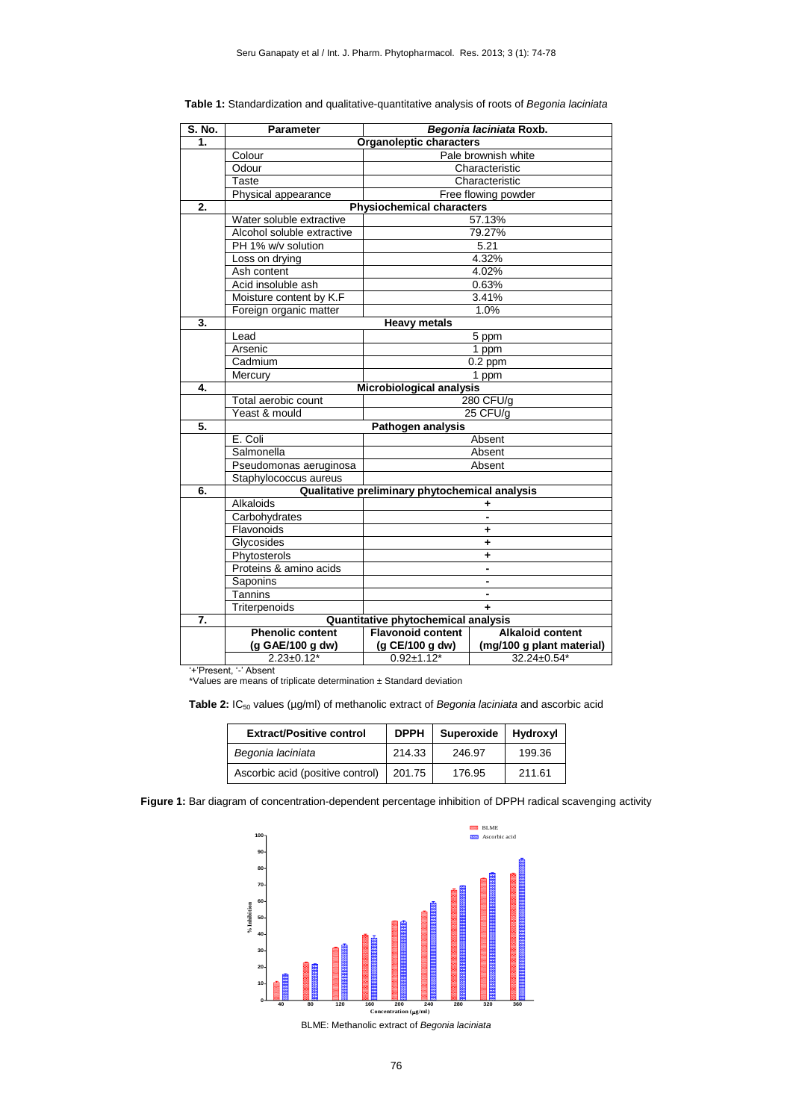| S. No. | <b>Parameter</b>                               | Begonia laciniata Roxb.                    |                           |  |  |
|--------|------------------------------------------------|--------------------------------------------|---------------------------|--|--|
| 1.     |                                                | Organoleptic characters                    |                           |  |  |
|        | Colour                                         | Pale brownish white                        |                           |  |  |
|        | Odour                                          | Characteristic                             |                           |  |  |
|        | Taste                                          | Characteristic                             |                           |  |  |
|        | Physical appearance                            |                                            | Free flowing powder       |  |  |
| 2.     | <b>Physiochemical characters</b>               |                                            |                           |  |  |
|        | Water soluble extractive                       | 57.13%                                     |                           |  |  |
|        | Alcohol soluble extractive                     |                                            | 79.27%                    |  |  |
|        | PH 1% w/v solution                             |                                            | 5.21                      |  |  |
|        | 4.32%<br>Loss on drying                        |                                            |                           |  |  |
|        | Ash content                                    |                                            | 4.02%                     |  |  |
|        | Acid insoluble ash                             |                                            | 0.63%                     |  |  |
|        | Moisture content by K.F                        |                                            | 3.41%                     |  |  |
|        | Foreign organic matter                         |                                            | 1.0%                      |  |  |
| 3.     | <b>Heavy metals</b>                            |                                            |                           |  |  |
|        | Lead                                           |                                            | 5 ppm                     |  |  |
|        | Arsenic                                        | 1 ppm                                      |                           |  |  |
|        | Cadmium                                        |                                            | $0.2$ ppm                 |  |  |
|        | Mercury                                        | 1 ppm                                      |                           |  |  |
| 4.     |                                                | Microbiological analysis                   |                           |  |  |
|        | Total aerobic count                            |                                            | 280 CFU/g                 |  |  |
|        | Yeast & mould                                  | 25 CFU/g                                   |                           |  |  |
| 5.     | Pathogen analysis                              |                                            |                           |  |  |
|        | E. Coli<br>Absent                              |                                            |                           |  |  |
|        | Salmonella                                     |                                            | Absent                    |  |  |
|        | Pseudomonas aeruginosa<br>Absent               |                                            |                           |  |  |
|        | Staphylococcus aureus                          |                                            |                           |  |  |
| 6.     | Qualitative preliminary phytochemical analysis |                                            |                           |  |  |
|        | Alkaloids<br>٠                                 |                                            |                           |  |  |
|        | Carbohydrates<br>$\overline{\phantom{a}}$      |                                            |                           |  |  |
|        | Flavonoids                                     |                                            | ٠                         |  |  |
|        | Glycosides                                     |                                            | ٠                         |  |  |
|        | Phytosterols                                   | ٠<br>$\blacksquare$<br>$\blacksquare$<br>÷ |                           |  |  |
|        | Proteins & amino acids                         |                                            |                           |  |  |
|        | Saponins                                       |                                            |                           |  |  |
|        | Tannins                                        |                                            |                           |  |  |
|        | Triterpenoids                                  |                                            |                           |  |  |
| 7.     |                                                | Quantitative phytochemical analysis        |                           |  |  |
|        | <b>Phenolic content</b>                        | <b>Flavonoid content</b>                   | <b>Alkaloid content</b>   |  |  |
|        | (g GAE/100 g dw)                               | (g CE/100 g dw)                            | (mg/100 g plant material) |  |  |
|        | $2.23 \pm 0.12^*$                              | $0.92 \pm 1.12^*$                          | $32.24 \pm 0.54^*$        |  |  |

| Table 1: Standardization and qualitative-quantitative analysis of roots of Begonia laciniata |  |  |  |
|----------------------------------------------------------------------------------------------|--|--|--|
|----------------------------------------------------------------------------------------------|--|--|--|

'+'Present, '-' Absent

\*Values are means of triplicate determination ± Standard deviation

Table 2: IC<sub>50</sub> values (µg/ml) of methanolic extract of *Begonia laciniata* and ascorbic acid

| <b>Extract/Positive control</b>  | <b>DPPH</b> | Superoxide | Hydroxyl |
|----------------------------------|-------------|------------|----------|
| Begonia laciniata                | 214.33      | 246.97     | 199.36   |
| Ascorbic acid (positive control) | 201.75      | 176.95     | 211.61   |

**Figure 1:** Bar diagram of concentration-dependent percentage inhibition of DPPH radical scavenging activity



BLME: Methanolic extract of *Begonia laciniata*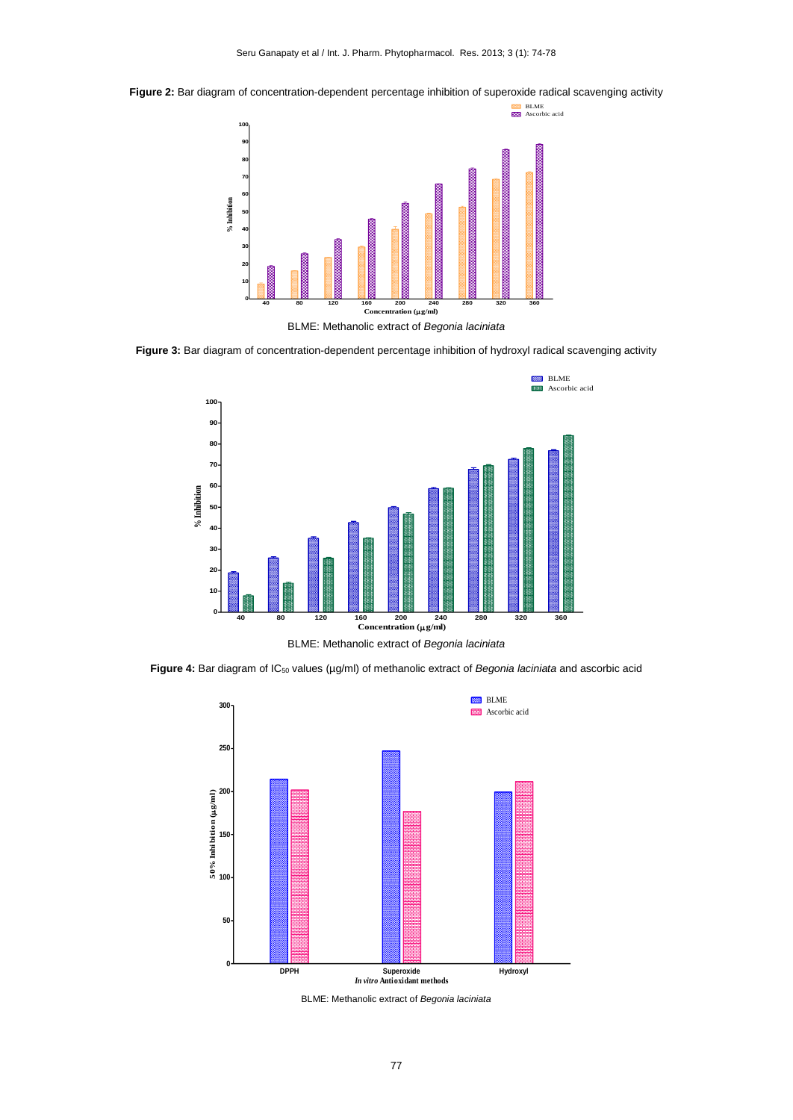**Figure 2:** Bar diagram of concentration-dependent percentage inhibition of superoxide radical scavenging activity



BLME: Methanolic extract of *Begonia laciniata*

**Figure 3:** Bar diagram of concentration-dependent percentage inhibition of hydroxyl radical scavenging activity



**Figure 4:** Bar diagram of IC<sup>50</sup> values (µg/ml) of methanolic extract of *Begonia laciniata* and ascorbic acid



BLME: Methanolic extract of *Begonia laciniata*